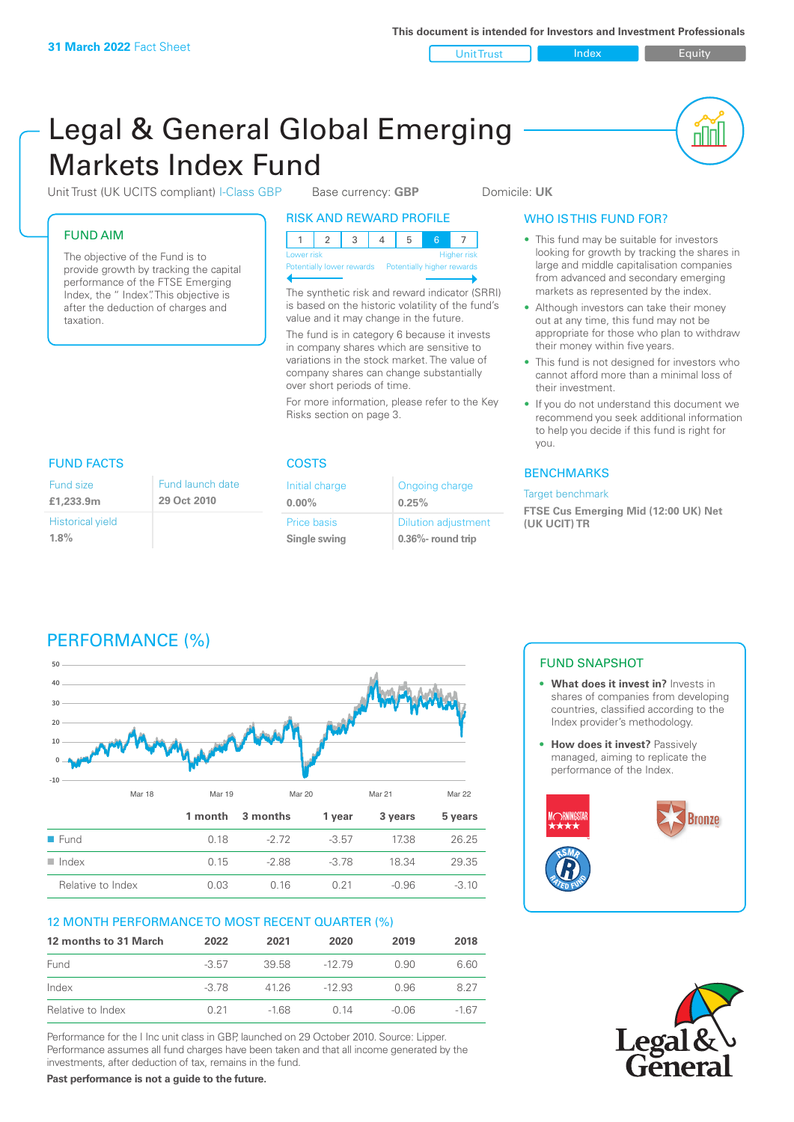Unit Trust Index **Index** Equity

nN

# Legal & General Global Emerging Markets Index Fund

Unit Trust (UK UCITS compliant) I-Class GBP Base currency: **GBP** Domicile: UK

### FUND AIM

The objective of the Fund is to provide growth by tracking the capital performance of the FTSE Emerging Index, the " Index". This objective is after the deduction of charges and taxation.

### RISK AND REWARD PROFILE

| Lower risk |  |  |  |  | <b>Higher risk</b> |
|------------|--|--|--|--|--------------------|

**Potentially lower rewards** 

The synthetic risk and reward indicator (SRRI) is based on the historic volatility of the fund's value and it may change in the future.

The fund is in category 6 because it invests in company shares which are sensitive to variations in the stock market. The value of company shares can change substantially over short periods of time.

For more information, please refer to the Key Risks section on page 3.

### WHO IS THIS FUND FOR?

- This fund may be suitable for investors looking for growth by tracking the shares in large and middle capitalisation companies from advanced and secondary emerging markets as represented by the index.
- Although investors can take their money out at any time, this fund may not be appropriate for those who plan to withdraw their money within five years.
- This fund is not designed for investors who cannot afford more than a minimal loss of their investment.
- If you do not understand this document we recommend you seek additional information to help you decide if this fund is right for you.

### **BENCHMARKS**

### Target benchmark

**FTSE Cus Emerging Mid (12:00 UK) Net (UK UCIT) TR**

## FUND FACTS COSTS

| Fund size                          | Fund launch date |
|------------------------------------|------------------|
| £1,233.9m                          | 29 Oct 2010      |
| <b>Historical yield</b><br>$1.8\%$ |                  |

| Initial charge | Ongoing charge             |  |
|----------------|----------------------------|--|
| $0.00\%$       | 0.25%                      |  |
| Price basis    | <b>Dilution adjustment</b> |  |
| Single swing   | $0.36\%$ - round trip      |  |

# PERFORMANCE (%)



### 12 MONTH PERFORMANCE TO MOST RECENT QUARTER (%)

| 12 months to 31 March | 2022    | 2021   | 2020     | 2019    | 2018 |
|-----------------------|---------|--------|----------|---------|------|
| Fund                  | $-3.57$ | 39.58  | -12 79   | O 90    | 6.60 |
| Index                 | $-3.78$ | 41 26  | $-12.93$ | O 96    | 8.27 |
| Relative to Index     | O 21    | $-168$ | 0 14     | $-0.06$ | -167 |

Performance for the I Inc unit class in GBP, launched on 29 October 2010. Source: Lipper. Performance assumes all fund charges have been taken and that all income generated by the investments, after deduction of tax, remains in the fund.

FUND SNAPSHOT

- **• What does it invest in?** Invests in shares of companies from developing countries, classified according to the Index provider's methodology.
- **How does it invest?** Passively managed, aiming to replicate the performance of the Index.





**Past performance is not a guide to the future.**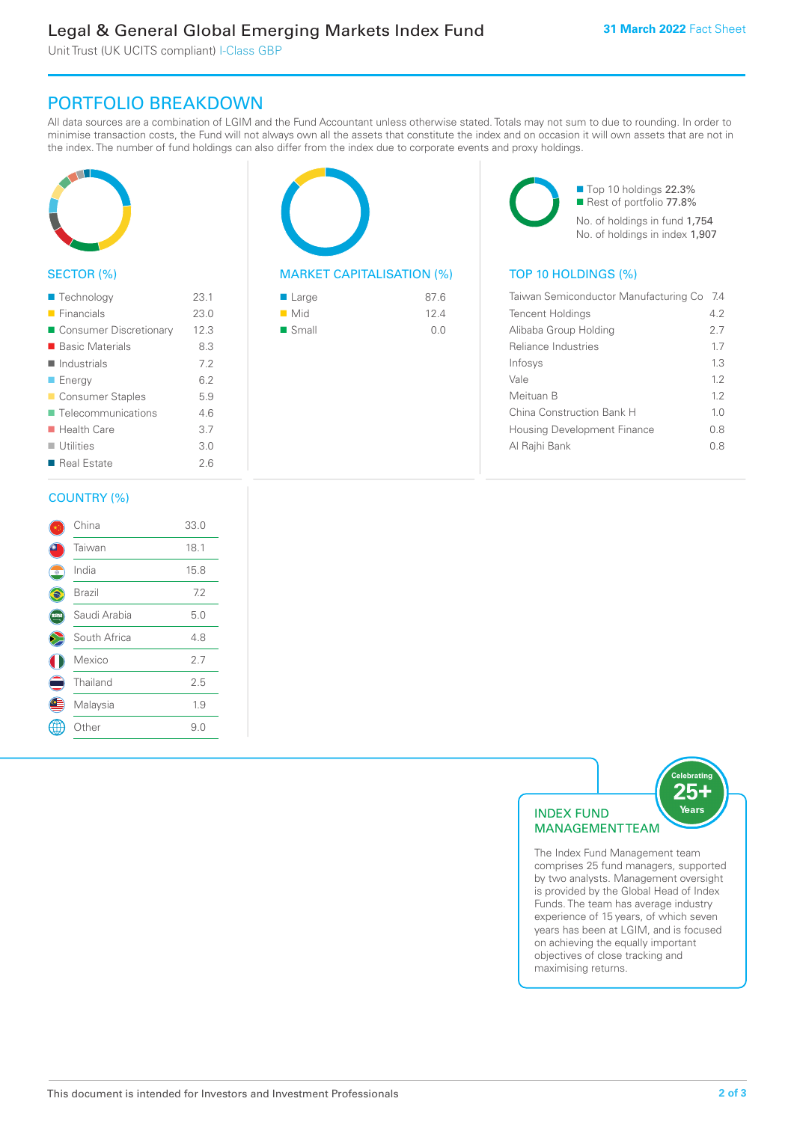Unit Trust (UK UCITS compliant) I-Class GBP

# PORTFOLIO BREAKDOWN

All data sources are a combination of LGIM and the Fund Accountant unless otherwise stated. Totals may not sum to due to rounding. In order to minimise transaction costs, the Fund will not always own all the assets that constitute the index and on occasion it will own assets that are not in the index. The number of fund holdings can also differ from the index due to corporate events and proxy holdings.



### SECTOR (%)

| ■ Technology               | 23.1 |
|----------------------------|------|
| $\blacksquare$ Financials  | 23.0 |
| ■ Consumer Discretionary   | 12.3 |
| ■ Basic Materials          | 8.3  |
| $\blacksquare$ Industrials | 7.2  |
| <b>Energy</b>              | 6.2  |
| Consumer Staples           | 5.9  |
| ■ Telecommunications       | 46   |
| $\blacksquare$ Health Care | 3.7  |
| $\blacksquare$ Utilities   | 3.0  |
| ■ Real Estate              | 26   |
|                            |      |

# MARKET CAPITALISATION (%) TOP 10 HOLDINGS (%) ■ Large 87.6 n Mid 12.4

 $\blacksquare$  Small  $\blacksquare$  0.0

■ Top 10 holdings 22.3% Rest of portfolio 77.8% No. of holdings in fund 1,754 No. of holdings in index 1,907

| Taiwan Semiconductor Manufacturing Co | -7.4           |
|---------------------------------------|----------------|
| <b>Tencent Holdings</b>               | 42             |
| Alibaba Group Holding                 | 27             |
| Reliance Industries                   | 17             |
| Infosys                               | 13             |
| Vale                                  | 12             |
| Meituan B                             | 12             |
| China Construction Bank H             | 1 <sub>0</sub> |
| <b>Housing Development Finance</b>    | 0.8            |
| Al Rajhi Bank                         | 0 8            |
|                                       |                |

### COUNTRY (%)

|           | China        | 33.0 |  |
|-----------|--------------|------|--|
|           | Taiwan       | 18.1 |  |
| $\bullet$ | India        | 15.8 |  |
|           | Brazil       | 7.2  |  |
|           | Saudi Arabia | 5.0  |  |
|           | South Africa | 4.8  |  |
|           | Mexico       | 2.7  |  |
|           | Thailand     | 2.5  |  |
|           | Malaysia     | 1.9  |  |
|           | Other        | 9.0  |  |
|           |              |      |  |



The Index Fund Management team comprises 25 fund managers, supported by two analysts. Management oversight is provided by the Global Head of Index Funds. The team has average industry experience of 15 years, of which seven years has been at LGIM, and is focused on achieving the equally important objectives of close tracking and maximising returns.